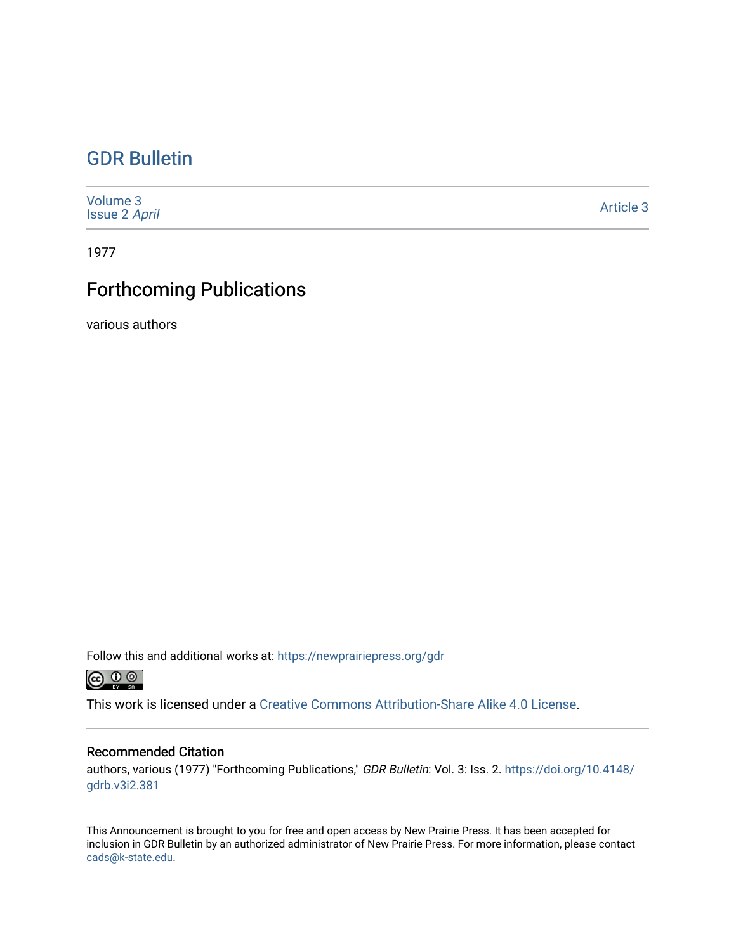### [GDR Bulletin](https://newprairiepress.org/gdr)

| Volume 3<br><b>Issue 2 April</b> | Article 3 |
|----------------------------------|-----------|
|----------------------------------|-----------|

1977

## Forthcoming Publications

various authors

Follow this and additional works at: [https://newprairiepress.org/gdr](https://newprairiepress.org/gdr?utm_source=newprairiepress.org%2Fgdr%2Fvol3%2Fiss2%2F3&utm_medium=PDF&utm_campaign=PDFCoverPages) 



This work is licensed under a [Creative Commons Attribution-Share Alike 4.0 License.](https://creativecommons.org/licenses/by-sa/4.0/)

### Recommended Citation

authors, various (1977) "Forthcoming Publications," GDR Bulletin: Vol. 3: Iss. 2. [https://doi.org/10.4148/](https://doi.org/10.4148/gdrb.v3i2.381) [gdrb.v3i2.381](https://doi.org/10.4148/gdrb.v3i2.381) 

This Announcement is brought to you for free and open access by New Prairie Press. It has been accepted for inclusion in GDR Bulletin by an authorized administrator of New Prairie Press. For more information, please contact [cads@k-state.edu.](mailto:cads@k-state.edu)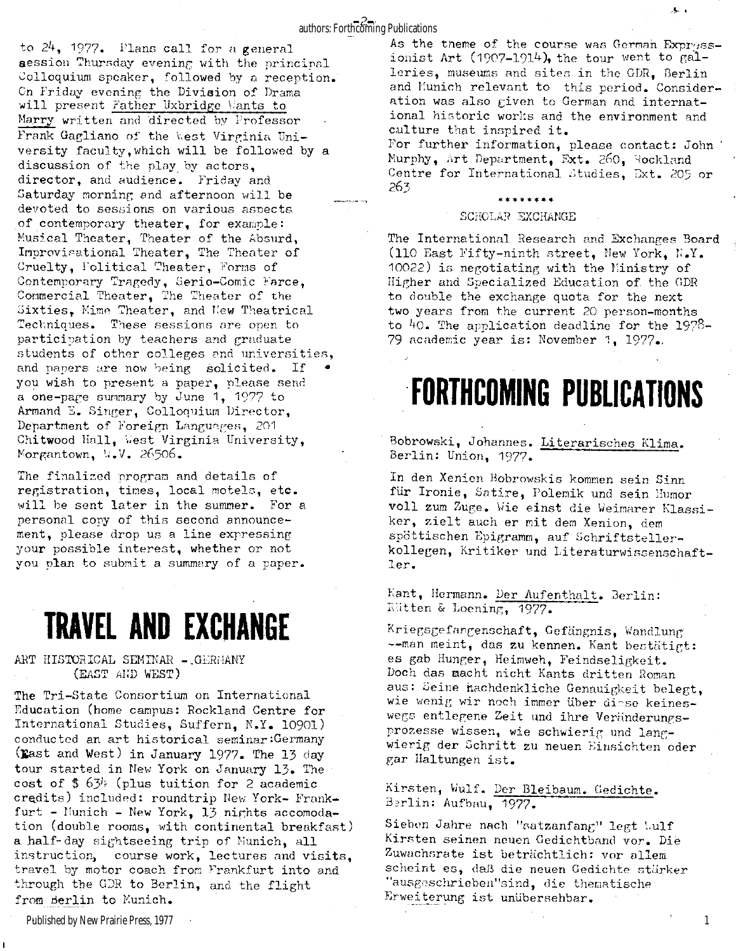### authors: Forthcoming Publications

to  $24$ , 1977. Plans call for a general aession Thursday evening with the principal Colloquium speaker, followed by a reception. On Friday evening the Division of Drama will present Father Uxbridge Wants to Marry written and directed by Professor Frank Gagliano of the West Virginia University faculty, which will be followed by a discussion of the play by actors. director, and audience. Friday and Saturday morning and afternoon will be devoted to sessions on various aspects of contemporary theater, for example: Musical Theater, Theater of the Absurd, Improvisational Theater, The Theater of Cruelty, Folitical Theater, Forms of Contemporary Tragedy, Serio-Comic Farce , Commercial Theater, The Theater of the Sixties, Mime Theater, and New Theatrical Techniques. These sessions are open to participation by teachers and graduate students of other colleges and universities, and papers are now being solicited. If you wish to present a paper, please send a one-page summary by June  $1, 1977$  to Armand E. Singer, Colloquium Director, Department of Foreign Languages, 201 Chitwood Hall, West Virginia University, Morgantown, W.V. 26506.

The finalized program and details of registration, times, local motels, etc. will be sent later in the summer. For a personal copy of this second announcement, please drop us a line expressing your possible interest, whether or not you plan to submit a summary of a paper.

## **TRAVEL AND EXCHANGE**

ART HISTORICAL SEMINAR -. GERMANY (EAST AND WEST)

The Tri-State Consortium on International Education (home campus: Rockland Centre for International Studies, Suffern, N.Y. 10901) conducted an art historical seminar:Germany (East and West) in January 1977. The 13 day tour started in New York on January 13. The cost of  $$ 63<sup>1</sup>$  (plus tuition for 2 academic credits) included: roundtrip New York- Frankfurt - Munich - New York, 13 nights accomodation (double rooms, with continental breakfast) a half-day sightseeing trip of Nunich, all instruction, course work, lectures and visits, travel by motor coach from Frankfurt into and through the GDR to Berlin, and the flight from Berlin to Munich.

As the tneme of the course was German Expressionist Art  $(1907-1914)$ , the tour went to galleries, museums and sites in the GDR, Berlin and Munich relevant to this period. Consideration was also given to German and international historic works and the environment and culture that inspired it.

For further information, please contact: John Murphy, Art Department, Ext. 260, Rockland Centre for International Studies, Ext. 205 or 263

#### **\*\*\*\*\*\*\*\***

#### SCHOLAR EXCHANGE

The International Research and Exchanges Board (110 East Fifty-ninth street, New York,  $N.V.$ 10022) is negotiating with the Ministry of Higher and Specialized Education of the GDR to double the exchange quota for the next two years from the current 20 person-months to  $40$ . The application deadline for the 1978-79 academic year is: November 1, 1977.

# **FORTHCOMING PUBLICATIONS**

Bobrowski, Johannes. Literarisches Klima. Berlin: Union, 1977.

In den Xenien Bobrowskis kommen sein Sinn für Ironie, Satire, Polemik und sein Humor voll zum Zuge. Wie einst die Weimarer Klassiker, zielt auch er mit dem Xenion, dem spöttischen Epigramm, auf Schriftstellerkollegen, Kritiker und Literaturwissenschaftler .

Kant, Hermann. Der Aufenthalt. Berlin: R'itten & Loening, 1977.

Kriegsgefangenschaft, Gefängnis, Wandlung —man meint, das zu kennen. Kant bestätigt: es gab Hunger, Heimweh, Feindseligkeit. Doch das macht nicht Kants dritten Roman aus: Seine nachdenkliche Genauigkeit belegt, wie wenig wir noch immer über diese keineswegs entlegene Zeit und ihre Veränderungsprozesse wissen, wie schwierig und langwierig der Schritt zu neuen Einsichten oder gar Haltungen ist.

Kirsten, Wulf. Der Bleibaum. Gedichte. Berlin: Aufbau, 1977.

Sieben Jahre nach "satzanfang" legt bulf Kirsten seinen neuen Gedichtband vor. Die Zuwachsrate ist beträchtlich: vor allem scheint es, daß die neuen Gedichte stärker "ausgeschrieben"sind, die thematische Erweiterung ist unübersehbar.

Published by New Prairie Press, 1977

1